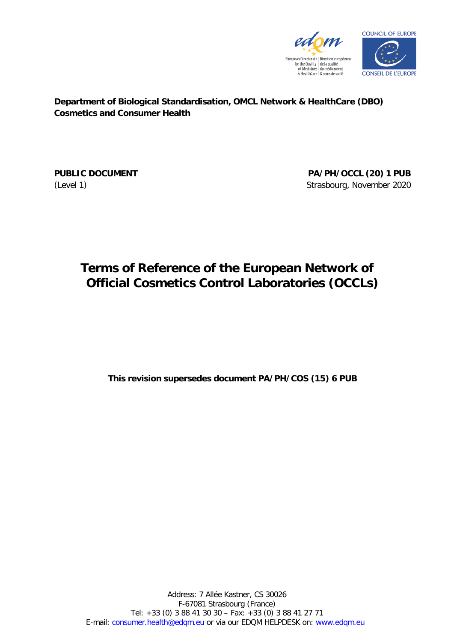



**Department of Biological Standardisation, OMCL Network & HealthCare (DBO) Cosmetics and Consumer Health**

**PUBLIC DOCUMENT PA/PH/OCCL (20) 1 PUB** (Level 1) Strasbourg, November 2020

# **Terms of Reference of the European Network of Official Cosmetics Control Laboratories (OCCLs)**

**This revision supersedes document PA/PH/COS (15) 6 PUB**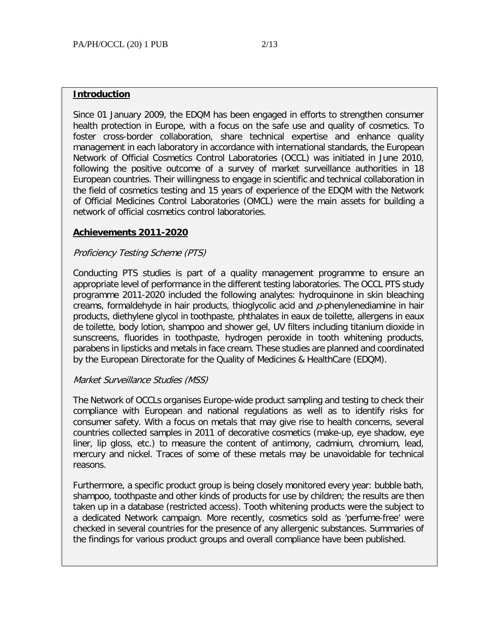#### **Introduction**

Since 01 January 2009, the EDQM has been engaged in efforts to strengthen consumer health protection in Europe, with a focus on the safe use and quality of cosmetics. To foster cross-border collaboration, share technical expertise and enhance quality management in each laboratory in accordance with international standards, the European Network of Official Cosmetics Control Laboratories (OCCL) was initiated in June 2010, following the positive outcome of a survey of market surveillance authorities in 18 European countries. Their willingness to engage in scientific and technical collaboration in the field of cosmetics testing and 15 years of experience of the EDQM with the Network of Official Medicines Control Laboratories (OMCL) were the main assets for building a network of official cosmetics control laboratories.

#### **Achievements 2011-2020**

#### Proficiency Testing Scheme (PTS)

Conducting PTS studies is part of a quality management programme to ensure an appropriate level of performance in the different testing laboratories. The OCCL PTS study programme 2011-2020 included the following analytes: hydroquinone in skin bleaching creams, formaldehyde in hair products, thioglycolic acid and  $p$ -phenylenediamine in hair products, diethylene glycol in toothpaste, phthalates in eaux de toilette, allergens in eaux de toilette, body lotion, shampoo and shower gel, UV filters including titanium dioxide in sunscreens, fluorides in toothpaste, hydrogen peroxide in tooth whitening products, parabens in lipsticks and metals in face cream. These studies are planned and coordinated by the European Directorate for the Quality of Medicines & HealthCare (EDQM).

#### Market Surveillance Studies (MSS)

The Network of OCCLs organises Europe-wide product sampling and testing to check their compliance with European and national regulations as well as to identify risks for consumer safety. With a focus on metals that may give rise to health concerns, several countries collected samples in 2011 of decorative cosmetics (make-up, eye shadow, eye liner, lip gloss, etc.) to measure the content of antimony, cadmium, chromium, lead, mercury and nickel. Traces of some of these metals may be unavoidable for technical reasons.

Furthermore, a specific product group is being closely monitored every year: bubble bath, shampoo, toothpaste and other kinds of products for use by children; the results are then taken up in a database (restricted access). Tooth whitening products were the subject to a dedicated Network campaign. More recently, cosmetics sold as 'perfume-free' were checked in several countries for the presence of any allergenic substances. Summaries of the findings for various product groups and overall compliance have been published.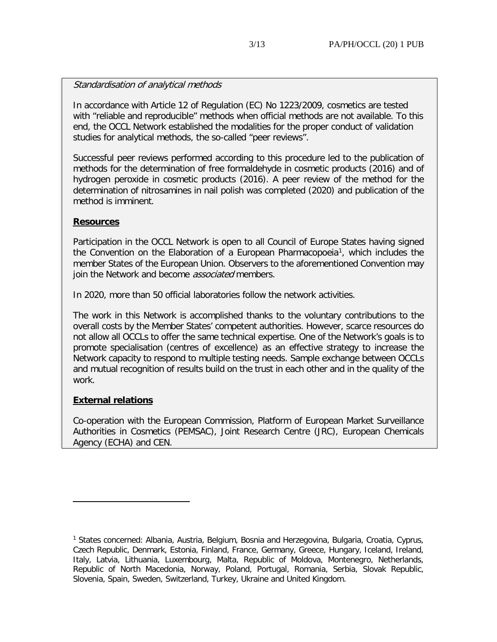#### Standardisation of analytical methods

In accordance with Article 12 of Regulation (EC) No 1223/2009, cosmetics are tested with "reliable and reproducible" methods when official methods are not available. To this end, the OCCL Network established the modalities for the proper conduct of validation studies for analytical methods, the so-called "peer reviews".

Successful peer reviews performed according to this procedure led to the publication of methods for the determination of free formaldehyde in cosmetic products (2016) and of hydrogen peroxide in cosmetic products (2016). A peer review of the method for the determination of nitrosamines in nail polish was completed (2020) and publication of the method is imminent.

#### **Resources**

Participation in the OCCL Network is open to all Council of Europe States having signed the Convention on the Elaboration of a European Pharmacopoeia<sup>[1](#page-2-0)</sup>, which includes the member States of the European Union. Observers to the aforementioned Convention may join the Network and become *associated* members.

In 2020, more than 50 official laboratories follow the network activities.

The work in this Network is accomplished thanks to the voluntary contributions to the overall costs by the Member States' competent authorities. However, scarce resources do not allow all OCCLs to offer the same technical expertise. One of the Network's goals is to promote specialisation (centres of excellence) as an effective strategy to increase the Network capacity to respond to multiple testing needs. Sample exchange between OCCLs and mutual recognition of results build on the trust in each other and in the quality of the work.

## **External relations**

ł

Co-operation with the European Commission, Platform of European Market Surveillance Authorities in Cosmetics (PEMSAC), Joint Research Centre (JRC), European Chemicals Agency (ECHA) and CEN.

<span id="page-2-0"></span><sup>1</sup> States concerned: Albania, Austria, Belgium, Bosnia and Herzegovina, Bulgaria, Croatia, Cyprus, Czech Republic, Denmark, Estonia, Finland, France, Germany, Greece, Hungary, Iceland, Ireland, Italy, Latvia, Lithuania, Luxembourg, Malta, Republic of Moldova, Montenegro, Netherlands, Republic of North Macedonia, Norway, Poland, Portugal, Romania, Serbia, Slovak Republic, Slovenia, Spain, Sweden, Switzerland, Turkey, Ukraine and United Kingdom.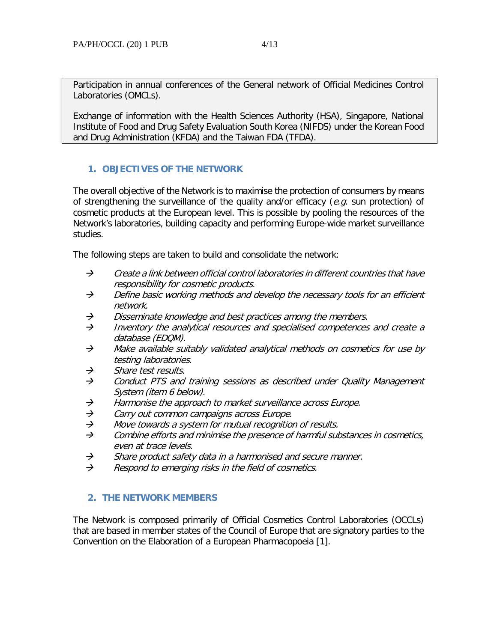Exchange of information with the Health Sciences Authority (HSA), Singapore, National Institute of Food and Drug Safety Evaluation South Korea (NIFDS) under the Korean Food and Drug Administration (KFDA) and the Taiwan FDA (TFDA).

# **1. OBJECTIVES OF THE NETWORK**

The overall objective of the Network is to maximise the protection of consumers by means of strengthening the surveillance of the quality and/or efficacy ( $e.g.$  sun protection) of cosmetic products at the European level. This is possible by pooling the resources of the Network's laboratories, building capacity and performing Europe-wide market surveillance studies.

The following steps are taken to build and consolidate the network:

- $\rightarrow$  Create a link between official control laboratories in different countries that have responsibility for cosmetic products.
- $\rightarrow$  Define basic working methods and develop the necessary tools for an efficient network.
- $\rightarrow$  Disseminate knowledge and best practices among the members.
- $\rightarrow$  Inventory the analytical resources and specialised competences and create a database (EDQM).
- $\rightarrow$  Make available suitably validated analytical methods on cosmetics for use by testing laboratories.
- $\rightarrow$  Share test results.
- $\rightarrow$  Conduct PTS and training sessions as described under Quality Management System (item 6 below).
- $\rightarrow$  Harmonise the approach to market surveillance across Europe.
- $\rightarrow$  Carry out common campaigns across Europe.
- $\rightarrow$  Move towards a system for mutual recognition of results.
- $\rightarrow$  Combine efforts and minimise the presence of harmful substances in cosmetics, even at trace levels.
- $\rightarrow$  Share product safety data in a harmonised and secure manner.
- $\rightarrow$  Respond to emerging risks in the field of cosmetics.

## **2. THE NETWORK MEMBERS**

The Network is composed primarily of Official Cosmetics Control Laboratories (OCCLs) that are based in member states of the Council of Europe that are signatory parties to the Convention on the Elaboration of a European Pharmacopoeia [1].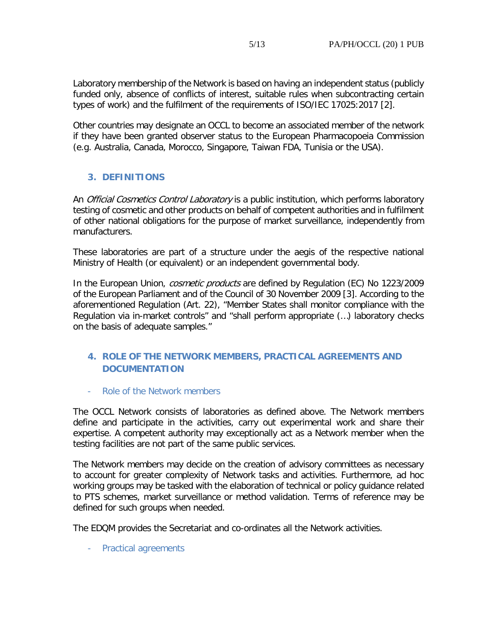Laboratory membership of the Network is based on having an independent status (publicly funded only, absence of conflicts of interest, suitable rules when subcontracting certain types of work) and the fulfilment of the requirements of ISO/IEC 17025:2017 [2].

Other countries may designate an OCCL to become an associated member of the network if they have been granted observer status to the European Pharmacopoeia Commission (e.g. Australia, Canada, Morocco, Singapore, Taiwan FDA, Tunisia or the USA).

# **3. DEFINITIONS**

An *Official Cosmetics Control Laboratory* is a public institution, which performs laboratory testing of cosmetic and other products on behalf of competent authorities and in fulfilment of other national obligations for the purpose of market surveillance, independently from manufacturers.

These laboratories are part of a structure under the aegis of the respective national Ministry of Health (or equivalent) or an independent governmental body.

In the European Union, cosmetic products are defined by Regulation (EC) No 1223/2009 of the European Parliament and of the Council of 30 November 2009 [3]. According to the aforementioned Regulation (Art. 22), "Member States shall monitor compliance with the Regulation via in-market controls" and "shall perform appropriate (…) laboratory checks on the basis of adequate samples."

# **4. ROLE OF THE NETWORK MEMBERS, PRACTICAL AGREEMENTS AND DOCUMENTATION**

Role of the Network members

The OCCL Network consists of laboratories as defined above. The Network members define and participate in the activities, carry out experimental work and share their expertise. A competent authority may exceptionally act as a Network member when the testing facilities are not part of the same public services.

The Network members may decide on the creation of advisory committees as necessary to account for greater complexity of Network tasks and activities. Furthermore, ad hoc working groups may be tasked with the elaboration of technical or policy guidance related to PTS schemes, market surveillance or method validation. Terms of reference may be defined for such groups when needed.

The EDQM provides the Secretariat and co-ordinates all the Network activities.

- Practical agreements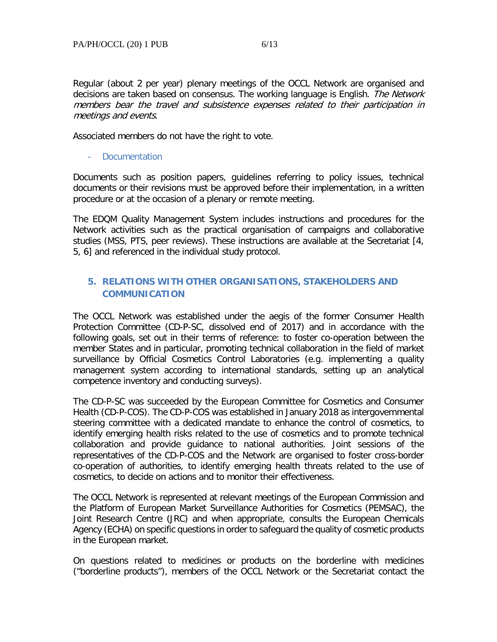Regular (about 2 per year) plenary meetings of the OCCL Network are organised and decisions are taken based on consensus. The working language is English. The Network members bear the travel and subsistence expenses related to their participation in meetings and events.

Associated members do not have the right to vote.

- Documentation

Documents such as position papers, guidelines referring to policy issues, technical documents or their revisions must be approved before their implementation, in a written procedure or at the occasion of a plenary or remote meeting.

The EDQM Quality Management System includes instructions and procedures for the Network activities such as the practical organisation of campaigns and collaborative studies (MSS, PTS, peer reviews). These instructions are available at the Secretariat [4, 5, 6] and referenced in the individual study protocol.

# **5. RELATIONS WITH OTHER ORGANISATIONS, STAKEHOLDERS AND COMMUNICATION**

The OCCL Network was established under the aegis of the former Consumer Health Protection Committee (CD-P-SC, dissolved end of 2017) and in accordance with the following goals, set out in their terms of reference: to foster co-operation between the member States and in particular, promoting technical collaboration in the field of market surveillance by Official Cosmetics Control Laboratories (e.g. implementing a quality management system according to international standards, setting up an analytical competence inventory and conducting surveys).

The CD-P-SC was succeeded by the European Committee for Cosmetics and Consumer Health (CD-P-COS). The CD-P-COS was established in January 2018 as intergovernmental steering committee with a dedicated mandate to enhance the control of cosmetics, to identify emerging health risks related to the use of cosmetics and to promote technical collaboration and provide guidance to national authorities. Joint sessions of the representatives of the CD-P-COS and the Network are organised to foster cross-border co-operation of authorities, to identify emerging health threats related to the use of cosmetics, to decide on actions and to monitor their effectiveness.

The OCCL Network is represented at relevant meetings of the European Commission and the Platform of European Market Surveillance Authorities for Cosmetics (PEMSAC), the Joint Research Centre (JRC) and when appropriate, consults the European Chemicals Agency (ECHA) on specific questions in order to safeguard the quality of cosmetic products in the European market.

On questions related to medicines or products on the borderline with medicines ("borderline products"), members of the OCCL Network or the Secretariat contact the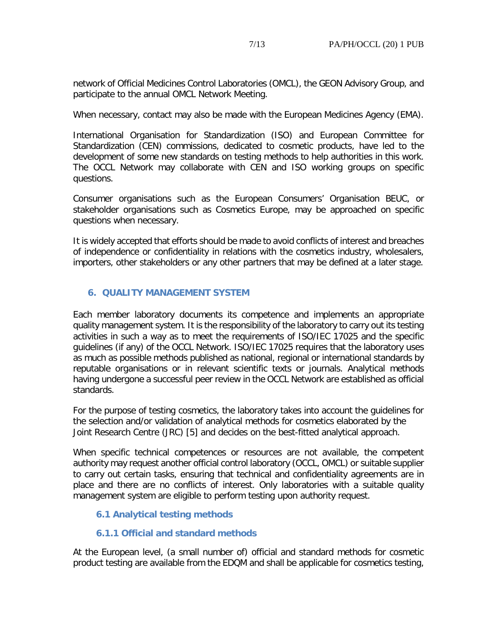network of Official Medicines Control Laboratories (OMCL), the GEON Advisory Group, and participate to the annual OMCL Network Meeting.

When necessary, contact may also be made with the European Medicines Agency (EMA).

International Organisation for Standardization (ISO) and European Committee for Standardization (CEN) commissions, dedicated to cosmetic products, have led to the development of some new standards on testing methods to help authorities in this work. The OCCL Network may collaborate with CEN and ISO working groups on specific questions.

Consumer organisations such as the European Consumers' Organisation BEUC, or stakeholder organisations such as Cosmetics Europe, may be approached on specific questions when necessary.

It is widely accepted that efforts should be made to avoid conflicts of interest and breaches of independence or confidentiality in relations with the cosmetics industry, wholesalers, importers, other stakeholders or any other partners that may be defined at a later stage.

# **6. QUALITY MANAGEMENT SYSTEM**

Each member laboratory documents its competence and implements an appropriate quality management system. It is the responsibility of the laboratory to carry out its testing activities in such a way as to meet the requirements of ISO/IEC 17025 and the specific guidelines (if any) of the OCCL Network. ISO/IEC 17025 requires that the laboratory uses as much as possible methods published as national, regional or international standards by reputable organisations or in relevant scientific texts or journals. Analytical methods having undergone a successful peer review in the OCCL Network are established as official standards.

For the purpose of testing cosmetics, the laboratory takes into account the guidelines for the selection and/or validation of analytical methods for cosmetics elaborated by the Joint Research Centre (JRC) [5] and decides on the best-fitted analytical approach.

When specific technical competences or resources are not available, the competent authority may request another official control laboratory (OCCL, OMCL) or suitable supplier to carry out certain tasks, ensuring that technical and confidentiality agreements are in place and there are no conflicts of interest. Only laboratories with a suitable quality management system are eligible to perform testing upon authority request.

# **6.1 Analytical testing methods**

## **6.1.1 Official and standard methods**

At the European level, (a small number of) official and standard methods for cosmetic product testing are available from the EDQM and shall be applicable for cosmetics testing,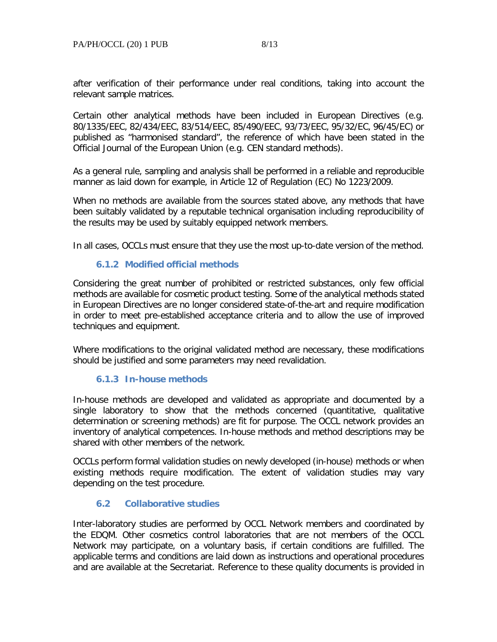after verification of their performance under real conditions, taking into account the relevant sample matrices.

Certain other analytical methods have been included in European Directives (e.g. 80/1335/EEC, 82/434/EEC, 83/514/EEC, 85/490/EEC, 93/73/EEC, 95/32/EC, 96/45/EC) or published as "harmonised standard", the reference of which have been stated in the Official Journal of the European Union (e.g. CEN standard methods).

As a general rule, sampling and analysis shall be performed in a reliable and reproducible manner as laid down for example, in Article 12 of Regulation (EC) No 1223/2009.

When no methods are available from the sources stated above, any methods that have been suitably validated by a reputable technical organisation including reproducibility of the results may be used by suitably equipped network members.

In all cases, OCCLs must ensure that they use the most up-to-date version of the method.

## **6.1.2 Modified official methods**

Considering the great number of prohibited or restricted substances, only few official methods are available for cosmetic product testing. Some of the analytical methods stated in European Directives are no longer considered state-of-the-art and require modification in order to meet pre-established acceptance criteria and to allow the use of improved techniques and equipment.

Where modifications to the original validated method are necessary, these modifications should be justified and some parameters may need revalidation.

#### **6.1.3 In-house methods**

In-house methods are developed and validated as appropriate and documented by a single laboratory to show that the methods concerned (quantitative, qualitative determination or screening methods) are fit for purpose. The OCCL network provides an inventory of analytical competences. In-house methods and method descriptions may be shared with other members of the network.

OCCLs perform formal validation studies on newly developed (in-house) methods or when existing methods require modification. The extent of validation studies may vary depending on the test procedure.

## **6.2 Collaborative studies**

Inter-laboratory studies are performed by OCCL Network members and coordinated by the EDQM. Other cosmetics control laboratories that are not members of the OCCL Network may participate, on a voluntary basis, if certain conditions are fulfilled. The applicable terms and conditions are laid down as instructions and operational procedures and are available at the Secretariat. Reference to these quality documents is provided in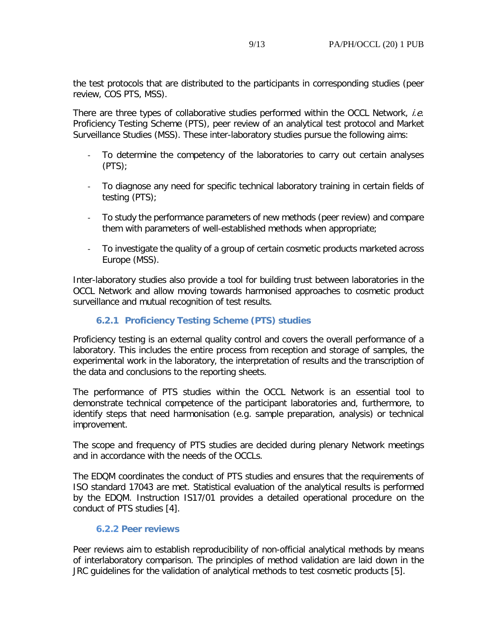the test protocols that are distributed to the participants in corresponding studies (peer review, COS PTS, MSS).

There are three types of collaborative studies performed within the OCCL Network, *i.e.* Proficiency Testing Scheme (PTS), peer review of an analytical test protocol and Market Surveillance Studies (MSS). These inter-laboratory studies pursue the following aims:

- To determine the competency of the laboratories to carry out certain analyses (PTS);
- To diagnose any need for specific technical laboratory training in certain fields of testing (PTS);
- To study the performance parameters of new methods (peer review) and compare them with parameters of well-established methods when appropriate;
- To investigate the quality of a group of certain cosmetic products marketed across Europe (MSS).

Inter-laboratory studies also provide a tool for building trust between laboratories in the OCCL Network and allow moving towards harmonised approaches to cosmetic product surveillance and mutual recognition of test results.

## **6.2.1 Proficiency Testing Scheme (PTS) studies**

Proficiency testing is an external quality control and covers the overall performance of a laboratory. This includes the entire process from reception and storage of samples, the experimental work in the laboratory, the interpretation of results and the transcription of the data and conclusions to the reporting sheets.

The performance of PTS studies within the OCCL Network is an essential tool to demonstrate technical competence of the participant laboratories and, furthermore, to identify steps that need harmonisation (e.g. sample preparation, analysis) or technical improvement.

The scope and frequency of PTS studies are decided during plenary Network meetings and in accordance with the needs of the OCCLs.

The EDQM coordinates the conduct of PTS studies and ensures that the requirements of ISO standard 17043 are met. Statistical evaluation of the analytical results is performed by the EDQM. Instruction IS17/01 provides a detailed operational procedure on the conduct of PTS studies [4].

## **6.2.2 Peer reviews**

Peer reviews aim to establish reproducibility of non-official analytical methods by means of interlaboratory comparison. The principles of method validation are laid down in the JRC guidelines for the validation of analytical methods to test cosmetic products [5].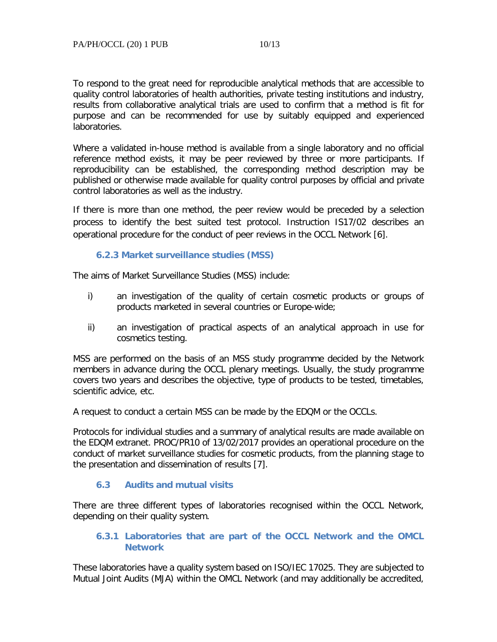To respond to the great need for reproducible analytical methods that are accessible to quality control laboratories of health authorities, private testing institutions and industry, results from collaborative analytical trials are used to confirm that a method is fit for purpose and can be recommended for use by suitably equipped and experienced laboratories.

Where a validated in-house method is available from a single laboratory and no official reference method exists, it may be peer reviewed by three or more participants. If reproducibility can be established, the corresponding method description may be published or otherwise made available for quality control purposes by official and private control laboratories as well as the industry.

If there is more than one method, the peer review would be preceded by a selection process to identify the best suited test protocol. Instruction IS17/02 describes an operational procedure for the conduct of peer reviews in the OCCL Network [6].

#### **6.2.3 Market surveillance studies (MSS)**

The aims of Market Surveillance Studies (MSS) include:

- i) an investigation of the quality of certain cosmetic products or groups of products marketed in several countries or Europe-wide;
- ii) an investigation of practical aspects of an analytical approach in use for cosmetics testing.

MSS are performed on the basis of an MSS study programme decided by the Network members in advance during the OCCL plenary meetings. Usually, the study programme covers two years and describes the objective, type of products to be tested, timetables, scientific advice, etc.

A request to conduct a certain MSS can be made by the EDQM or the OCCLs.

Protocols for individual studies and a summary of analytical results are made available on the EDQM extranet. PROC/PR10 of 13/02/2017 provides an operational procedure on the conduct of market surveillance studies for cosmetic products, from the planning stage to the presentation and dissemination of results [7].

## **6.3 Audits and mutual visits**

There are three different types of laboratories recognised within the OCCL Network, depending on their quality system.

## **6.3.1 Laboratories that are part of the OCCL Network and the OMCL Network**

These laboratories have a quality system based on ISO/IEC 17025. They are subjected to Mutual Joint Audits (MJA) within the OMCL Network (and may additionally be accredited,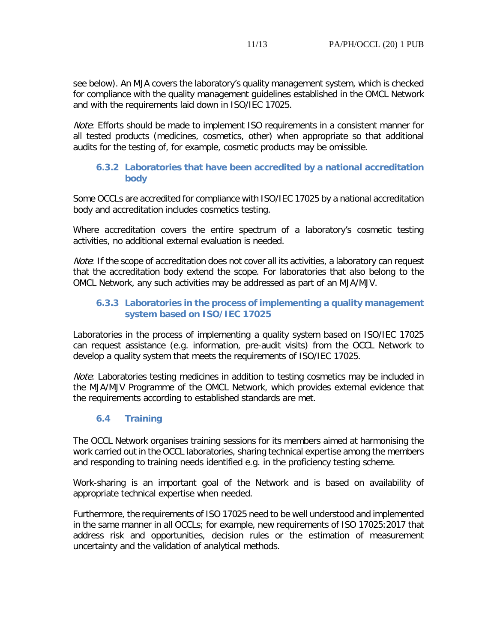see below). An MJA covers the laboratory's quality management system, which is checked for compliance with the quality management guidelines established in the OMCL Network and with the requirements laid down in ISO/IEC 17025.

Note: Efforts should be made to implement ISO requirements in a consistent manner for all tested products (medicines, cosmetics, other) when appropriate so that additional audits for the testing of, for example, cosmetic products may be omissible.

## **6.3.2 Laboratories that have been accredited by a national accreditation body**

Some OCCLs are accredited for compliance with ISO/IEC 17025 by a national accreditation body and accreditation includes cosmetics testing.

Where accreditation covers the entire spectrum of a laboratory's cosmetic testing activities, no additional external evaluation is needed.

Note: If the scope of accreditation does not cover all its activities, a laboratory can request that the accreditation body extend the scope. For laboratories that also belong to the OMCL Network, any such activities may be addressed as part of an MJA/MJV.

# **6.3.3 Laboratories in the process of implementing a quality management system based on ISO/IEC 17025**

Laboratories in the process of implementing a quality system based on ISO/IEC 17025 can request assistance (e.g. information, pre-audit visits) from the OCCL Network to develop a quality system that meets the requirements of ISO/IEC 17025.

*Note*: Laboratories testing medicines in addition to testing cosmetics may be included in the MJA/MJV Programme of the OMCL Network, which provides external evidence that the requirements according to established standards are met.

# **6.4 Training**

The OCCL Network organises training sessions for its members aimed at harmonising the work carried out in the OCCL laboratories, sharing technical expertise among the members and responding to training needs identified e.g. in the proficiency testing scheme.

Work-sharing is an important goal of the Network and is based on availability of appropriate technical expertise when needed.

Furthermore, the requirements of ISO 17025 need to be well understood and implemented in the same manner in all OCCLs; for example, new requirements of ISO 17025:2017 that address risk and opportunities, decision rules or the estimation of measurement uncertainty and the validation of analytical methods.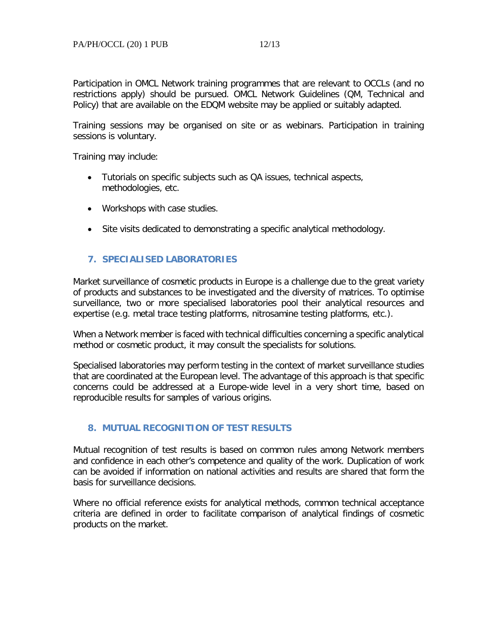Participation in OMCL Network training programmes that are relevant to OCCLs (and no restrictions apply) should be pursued. OMCL Network Guidelines (QM, Technical and Policy) that are available on the EDQM website may be applied or suitably adapted.

Training sessions may be organised on site or as webinars. Participation in training sessions is voluntary.

Training may include:

- Tutorials on specific subjects such as QA issues, technical aspects, methodologies, etc.
- Workshops with case studies.
- Site visits dedicated to demonstrating a specific analytical methodology.

#### **7. SPECIALISED LABORATORIES**

Market surveillance of cosmetic products in Europe is a challenge due to the great variety of products and substances to be investigated and the diversity of matrices. To optimise surveillance, two or more specialised laboratories pool their analytical resources and expertise (e.g. metal trace testing platforms, nitrosamine testing platforms, etc.).

When a Network member is faced with technical difficulties concerning a specific analytical method or cosmetic product, it may consult the specialists for solutions.

Specialised laboratories may perform testing in the context of market surveillance studies that are coordinated at the European level. The advantage of this approach is that specific concerns could be addressed at a Europe-wide level in a very short time, based on reproducible results for samples of various origins.

## **8. MUTUAL RECOGNITION OF TEST RESULTS**

Mutual recognition of test results is based on common rules among Network members and confidence in each other's competence and quality of the work. Duplication of work can be avoided if information on national activities and results are shared that form the basis for surveillance decisions.

Where no official reference exists for analytical methods, common technical acceptance criteria are defined in order to facilitate comparison of analytical findings of cosmetic products on the market.